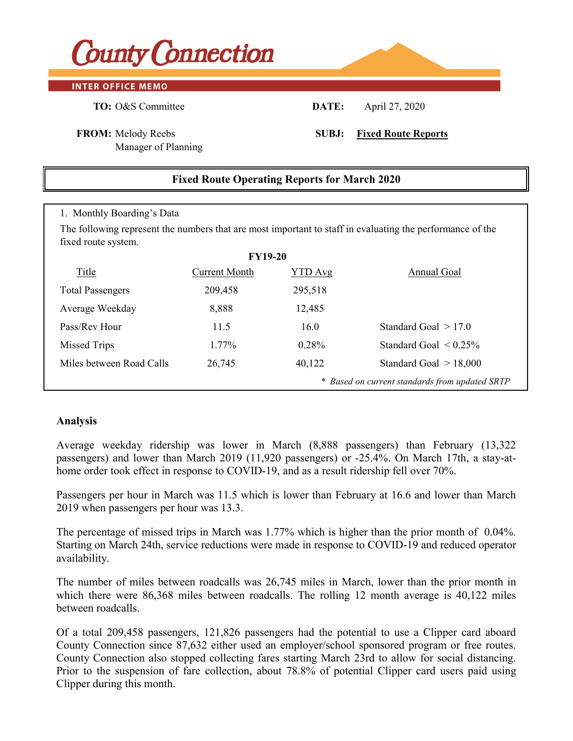

#### **INTER OFFICE MEMO**

Manager of Planning

## 1. Monthly Boarding's Data **FY19-20** Title Current Month YTD Avg Annual Goal Total Passengers 209,458 295,518 Average Weekday 8,888 12,485 Pass/Rev Hour  $11.5$   $16.0$  Standard Goal  $> 17.0$ Missed Trips 1.77% 0.28% Standard Goal < 0.25% Miles between Road Calls 26,745 40,122 Standard Goal > 18,000 *\* Based on current standards from updated SRTP* **Fixed Route Operating Reports for March 2020** The following represent the numbers that are most important to staff in evaluating the performance of the fixed route system.

### **Analysis**

Average weekday ridership was lower in March  $(8,888)$  passengers) than February  $(13,322)$ passengers) and lower than March 2019 (11,920 passengers) or  $-25.4\%$ . On March 17th, a stay-athome order took effect in response to COVID-19, and as a result ridership fell over 70%.

Passengers per hours in August was 16.8 which in August was 16.8 and also higher than July at 14.8 and also higher than August was 16.8 and also higher than August was 16.8 and also higher than August was 16.8 and and Augu Passengers per hour in March was 11.5 which is lower than February at 16.6 and lower than March 2019 when passengers per hour was 13.3.

The percentage of missed trips in March was 1.77% which is higher than the prior month of  $0.04\%$ . Starting on March 24th, service reductions were made in response to COVID-19 and reduced operator  $avallability.$ availability.

The number of miles between roadcalls was 26,745 miles in March, lower than the prior month in which there were 86,368 miles between roadcalls. The rolling 12 month average is 40,122 miles between roadcalls. between roadcalls.

Of a total 209,458 passengers, 121,826 passengers had the potential to use a Clipper card aboard County Connection since 87,632 either used an employer/school sponsored program or free routes. County Connection also stopped collecting fares starting March 23rd to allow for social distancing. Prior to the suspension of fare collection, about 78.8% of potential Clipper card users paid using Clipper during this month.

**FROM:** Melody Reebs **SUBJ: Fixed Route Reports**

**TO:** O&S Committee **DATE:** April 27, 2020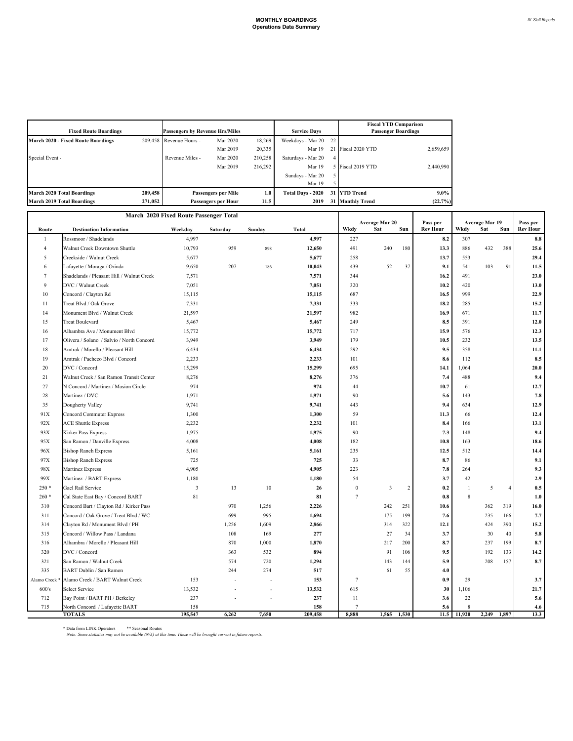| <b>Fixed Route Boardings</b>              |         | <b>Passengers by Revenue Hrs/Miles</b> |                            | <b>Service Days</b> |                    | <b>Fiscal YTD Comparison</b><br><b>Passenger Boardings</b> |                      |           |
|-------------------------------------------|---------|----------------------------------------|----------------------------|---------------------|--------------------|------------------------------------------------------------|----------------------|-----------|
| <b>March 2020 - Fixed Route Boardings</b> |         | 209.458 Revenue Hours -                | Mar 2020                   | 18.269              | Weekdays - Mar 20  | 22                                                         |                      |           |
|                                           |         |                                        | Mar 2019                   | 20,335              | Mar 19             |                                                            | Fiscal 2020 YTD      | 2,659,659 |
| Special Event -                           |         | Revenue Miles -                        | Mar 2020                   | 210,258             | Saturdays - Mar 20 | 4                                                          |                      |           |
|                                           |         |                                        | Mar 2019                   | 216,292             | Mar 19             |                                                            | Fiscal 2019 YTD      | 2,440,990 |
|                                           |         |                                        |                            |                     | Sundays - Mar 20   |                                                            |                      |           |
|                                           |         |                                        |                            |                     | Mar 19             |                                                            |                      |           |
| <b>March 2020 Total Boardings</b>         | 209,458 |                                        | <b>Passengers per Mile</b> |                     | Total Days - 2020  |                                                            | 31 YTD Trend         | $9.0\%$   |
| <b>March 2019 Total Boardings</b>         | 271.052 |                                        | <b>Passengers per Hour</b> |                     | 31<br>2019         |                                                            | <b>Monthly Trend</b> | (22.7%)   |

|                |                                           | March 2020 Fixed Route Passenger Total |          |        |                |                 |                              |                             |                                             |       |                |                             |
|----------------|-------------------------------------------|----------------------------------------|----------|--------|----------------|-----------------|------------------------------|-----------------------------|---------------------------------------------|-------|----------------|-----------------------------|
| Route          | <b>Destination Information</b>            | Weekday                                | Saturday | Sunday | Total          | Wkdy            | Average Mar 20<br>Sat<br>Sun | Pass per<br><b>Rev Hour</b> | <b>Average Mar 19</b><br>Sat<br>Wkdy<br>Sun |       |                | Pass per<br><b>Rev Hour</b> |
| $\mathbf{1}$   | Rossmoor / Shadelands                     | 4,997                                  |          |        | 4,997          | 227             |                              | 8.2                         | 307                                         |       |                | $\bf 8.8$                   |
| $\overline{4}$ | Walnut Creek Downtown Shuttle             | 10,793                                 | 959      | 898    | 12,650         | 491             | 240<br>180                   | 13.3                        | 886                                         | 432   | 388            | 25.6                        |
| 5              | Creekside / Walnut Creek                  | 5,677                                  |          |        | 5,677          | 258             |                              | 13.7                        | 553                                         |       |                | 29.4                        |
| 6              | Lafayette / Moraga / Orinda               | 9,650                                  | 207      | 186    | 10,043         | 439             | 52<br>37                     | 9.1                         | 541                                         | 103   | 91             | 11.5                        |
| 7              | Shadelands / Pleasant Hill / Walnut Creek | 7,571                                  |          |        | 7,571          | 344             |                              | 16.2                        | 491                                         |       |                | 23.0                        |
| 9              | DVC / Walnut Creek                        | 7,051                                  |          |        | 7,051          | 320             |                              | 10.2                        | 420                                         |       |                | 13.0                        |
| 10             | Concord / Clayton Rd                      | 15,115                                 |          |        | 15,115         | 687             |                              | 16.5                        | 999                                         |       |                | 22.9                        |
| 11             | Treat Blvd / Oak Grove                    | 7,331                                  |          |        | 7,331          | 333             |                              | 18.2                        | 285                                         |       |                | 15.2                        |
| 14             | Monument Blvd / Walnut Creek              | 21,597                                 |          |        | 21,597         | 982             |                              | 16.9                        | 671                                         |       |                | 11.7                        |
| 15             | <b>Treat Boulevard</b>                    | 5,467                                  |          |        | 5,467          | 249             |                              | 8.5                         | 391                                         |       |                | 12.0                        |
| 16             | Alhambra Ave / Monument Blvd              | 15,772                                 |          |        | 15,772         | 717             |                              | 15.9                        | 576                                         |       |                | 12.3                        |
| 17             | Olivera / Solano / Salvio / North Concord | 3,949                                  |          |        | 3,949          | 179             |                              | 10.5                        | 232                                         |       |                | 13.5                        |
| 18             | Amtrak / Morello / Pleasant Hill          |                                        |          |        |                | 292             |                              | 9.5                         |                                             |       |                |                             |
| 19             | Amtrak / Pacheco Blvd / Concord           | 6,434<br>2,233                         |          |        | 6,434<br>2,233 | 101             |                              | 8.6                         | 358<br>112                                  |       |                | 11.1<br>8.5                 |
| 20             | DVC / Concord                             | 15,299                                 |          |        | 15,299         | 695             |                              |                             | 1,064                                       |       |                | 20.0                        |
|                |                                           |                                        |          |        |                |                 |                              | 14.1                        |                                             |       |                |                             |
| 21             | Walnut Creek / San Ramon Transit Center   | 8,276<br>974                           |          |        | 8,276<br>974   | 376             |                              | 7.4                         | 488                                         |       |                | 9.4                         |
| 27             | N Concord / Martinez / Masion Circle      |                                        |          |        |                | 44              |                              | 10.7                        | 61                                          |       |                | 12.7                        |
| 28             | Martinez / DVC                            | 1,971                                  |          |        | 1,971          | 90              |                              | 5.6                         | 143                                         |       |                | 7.8                         |
| 35             | Dougherty Valley                          | 9,741                                  |          |        | 9,741          | 443             |                              | 9.4                         | 634                                         |       |                | 12.9                        |
| 91X            | <b>Concord Commuter Express</b>           | 1,300                                  |          |        | 1,300          | 59              |                              | 11.3                        | 66                                          |       |                | 12.4                        |
| 92X            | <b>ACE Shuttle Express</b>                | 2,232                                  |          |        | 2,232          | 101             |                              | 8.4                         | 166                                         |       |                | 13.1                        |
| 93X            | <b>Kirker Pass Express</b>                | 1,975                                  |          |        | 1,975          | 90              |                              | 7.3                         | 148                                         |       |                | 9.4                         |
| 95X            | San Ramon / Danville Express              | 4,008                                  |          |        | 4,008          | 182             |                              | 10.8                        | 163                                         |       |                | 18.6                        |
| 96X            | <b>Bishop Ranch Express</b>               | 5,161                                  |          |        | 5,161          | 235             |                              | 12.5                        | 512                                         |       |                | 14.4                        |
| 97X            | <b>Bishop Ranch Express</b>               | 725                                    |          |        | 725            | 33              |                              | 8.7                         | 86                                          |       |                | 9.1                         |
| 98X            | Martinez Express                          | 4,905                                  |          |        | 4,905          | 223             |                              | 7.8                         | 264                                         |       |                | 9.3                         |
| 99X            | Martinez / BART Express                   | 1,180                                  |          |        | 1,180          | 54              |                              | 3.7                         | 42                                          |       |                | 2.9                         |
| $250*$         | Gael Rail Service                         | $\overline{\mathbf{3}}$                | 13       | 10     | 26             | $\mathbf{0}$    | 3<br>$\boldsymbol{2}$        | 0.2                         | $\mathbf{1}$                                | 5     | $\overline{4}$ | 0.5                         |
| $260*$         | Cal State East Bay / Concord BART         | 81                                     |          |        | 81             | $\overline{7}$  |                              | 0.8                         | 8                                           |       |                | 1.0                         |
| 310            | Concord Bart / Clayton Rd / Kirker Pass   |                                        | 970      | 1,256  | 2,226          |                 | 242<br>251                   | 10.6                        |                                             | 362   | 319            | 16.0                        |
| 311            | Concord / Oak Grove / Treat Blvd / WC     |                                        | 699      | 995    | 1,694          |                 | 175<br>199                   | 7.6                         |                                             | 235   | 166            | 7.7                         |
| 314            | Clayton Rd / Monument Blvd / PH           |                                        | 1,256    | 1,609  | 2,866          |                 | 322<br>314                   | 12.1                        |                                             | 424   | 390            | 15.2                        |
| 315            | Concord / Willow Pass / Landana           |                                        | 108      | 169    | 277            |                 | 34<br>27                     | 3.7                         |                                             | 30    | 40             | 5.8                         |
| 316            | Alhambra / Morello / Pleasant Hill        |                                        | 870      | 1,000  | 1,870          |                 | 217<br>200                   | 8.7                         |                                             | 237   | 199            | 8.7                         |
| 320            | DVC / Concord                             |                                        | 363      | 532    | 894            |                 | 91<br>106                    | 9.5                         |                                             | 192   | 133            | 14.2                        |
| 321            | San Ramon / Walnut Creek                  |                                        | 574      | 720    | 1,294          |                 | 143<br>144                   | 5.9                         |                                             | 208   | 157            | 8.7                         |
| 335            | <b>BART Dublin / San Ramon</b>            |                                        | 244      | 274    | 517            |                 | 61<br>55                     | 4.0                         |                                             |       |                |                             |
| Alamo Creek    | Alamo Creek / BART Walnut Creek           | 153                                    |          |        | 153            | $7\phantom{.0}$ |                              | 0.9                         | 29                                          |       |                | 3.7                         |
| 600's          | Select Service                            | 13,532                                 |          |        | 13,532         | 615             |                              | 30                          | 1,106                                       |       |                | 21.7                        |
| 712            | Bay Point / BART PH / Berkeley            | 237                                    |          |        | 237            | 11              |                              | 3.6                         | 22                                          |       |                | 5.6                         |
| 715            | North Concord / Lafayette BART            | 158                                    |          |        | 158            | $\overline{7}$  |                              | 5.6                         | $\mathbf{8}$                                |       |                | 4.6                         |
|                | <b>TOTALS</b>                             | 195,547                                | 6,262    | 7,650  | 209,458        | 8,888           | 1,565<br>1,530               | 11.5                        | 11,920                                      | 2,249 | 1,897          | 13.3                        |

\* Data from LINK Operators \*\* Seasonal Routes *Note: Some statistics may not be available (N/A) at this time. These will be brought current in future reports.*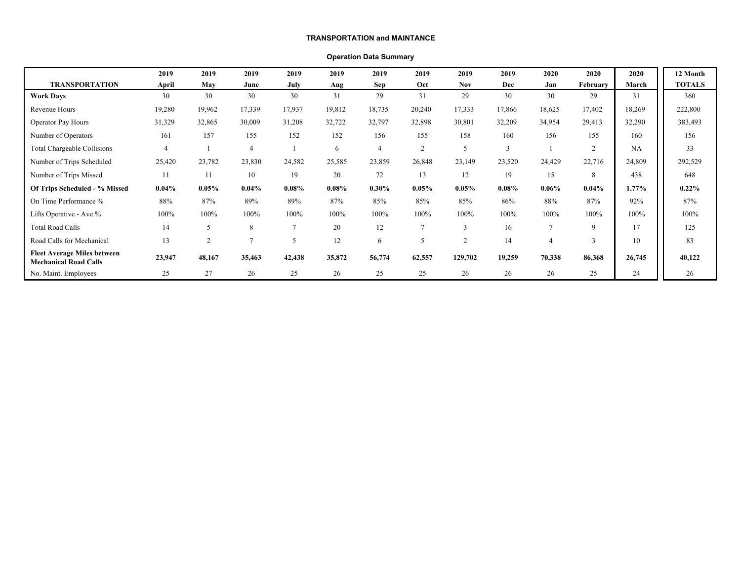#### **TRANSPORTATION and MAINTANCE**

#### **Operation Data Summary**

|                                                                    | 2019           | 2019          | 2019           | 2019           | 2019   | 2019           | 2019          | 2019           | 2019           | 2020     | 2020           | 2020     | 12 Month      |
|--------------------------------------------------------------------|----------------|---------------|----------------|----------------|--------|----------------|---------------|----------------|----------------|----------|----------------|----------|---------------|
| <b>TRANSPORTATION</b>                                              | April          | May           | June           | July           | Aug    | <b>Sep</b>     | Oct           | <b>Nov</b>     | Dec            | Jan      | February       | March    | <b>TOTALS</b> |
| <b>Work Days</b>                                                   | 30             | 30            | 30             | 30             | 31     | 29             | 31            | 29             | 30             | 30       | 29             | 31       | 360           |
| Revenue Hours                                                      | 19,280         | 19,962        | 17,339         | 17,937         | 19,812 | 18,735         | 20,240        | 17,333         | 17,866         | 18,625   | 17,402         | 18,269   | 222,800       |
| Operator Pay Hours                                                 | 31,329         | 32,865        | 30,009         | 31,208         | 32,722 | 32,797         | 32,898        | 30,801         | 32,209         | 34,954   | 29,413         | 32,290   | 383,493       |
| Number of Operators                                                | 161            | 157           | 155            | 152            | 152    | 156            | 155           | 158            | 160            | 156      | 155            | 160      | 156           |
| Total Chargeable Collisions                                        | $\overline{4}$ |               | $\overline{4}$ |                | 6      | $\overline{4}$ | 2             | 5              | $\overline{3}$ |          | $\overline{2}$ | NA       | 33            |
| Number of Trips Scheduled                                          | 25,420         | 23,782        | 23,830         | 24,582         | 25,585 | 23,859         | 26,848        | 23,149         | 23,520         | 24,429   | 22,716         | 24,809   | 292,529       |
| Number of Trips Missed                                             | 11             | 11            | 10             | 19             | 20     | 72             | 13            | 12             | 19             | 15       | 8              | 438      | 648           |
| Of Trips Scheduled - % Missed                                      | $0.04\%$       | 0.05%         | $0.04\%$       | 0.08%          | 0.08%  | $0.30\%$       | 0.05%         | $0.05\%$       | $0.08\%$       | $0.06\%$ | $0.04\%$       | $1.77\%$ | 0.22%         |
| On Time Performance %                                              | 88%            | 87%           | 89%            | 89%            | 87%    | 85%            | 85%           | 85%            | 86%            | 88%      | 87%            | 92%      | 87%           |
| Lifts Operative - Ave %                                            | 100%           | 100%          | 100%           | 100%           | 100%   | 100%           | 100%          | 100%           | 100%           | 100%     | 100%           | 100%     | 100%          |
| <b>Total Road Calls</b>                                            | 14             |               | 8              | $\overline{7}$ | 20     | 12             | $\mathcal{I}$ | 3              | 16             |          | 9              | 17       | 125           |
| Road Calls for Mechanical                                          | 13             | $\mathcal{L}$ | $\mathcal{I}$  | 5              | 12     | 6              | $\mathcal{D}$ | $\overline{2}$ | 14             |          | 3              | 10       | 83            |
| <b>Fleet Average Miles between</b><br><b>Mechanical Road Calls</b> | 23,947         | 48,167        | 35,463         | 42,438         | 35,872 | 56,774         | 62,557        | 129,702        | 19,259         | 70,338   | 86,368         | 26,745   | 40,122        |
| No. Maint. Employees                                               | 25             | 27            | 26             | 25             | 26     | 25             | 25            | 26             | 26             | 26       | 25             | 24       | 26            |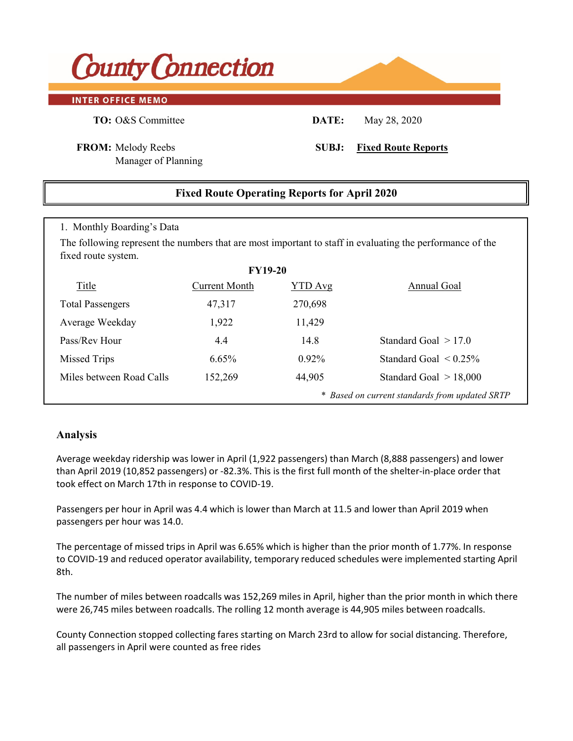# **County Connection**

#### **INTER OFFICE MEMO**

**TO:** O&S Committee **DATE:** May 28, 2020

**FROM:** Melody Reebs **SUBJ: Fixed Route Reports**

Manager of Planning

## **Fixed Route Operating Reports for April 2020**

#### 1. Monthly Boarding's Data

The following represent the numbers that are most important to staff in evaluating the performance of the fixed route system.

| <b>FY19-20</b>           |               |                |                                                |  |  |  |  |  |  |  |  |
|--------------------------|---------------|----------------|------------------------------------------------|--|--|--|--|--|--|--|--|
| Title                    | Current Month | <b>YTD</b> Avg | Annual Goal                                    |  |  |  |  |  |  |  |  |
| <b>Total Passengers</b>  | 47,317        | 270,698        |                                                |  |  |  |  |  |  |  |  |
| Average Weekday          | 1,922         | 11,429         |                                                |  |  |  |  |  |  |  |  |
| Pass/Rev Hour            | 4.4           | 14.8           | Standard Goal $> 17.0$                         |  |  |  |  |  |  |  |  |
| Missed Trips             | $6.65\%$      | $0.92\%$       | Standard Goal $\leq 0.25\%$                    |  |  |  |  |  |  |  |  |
| Miles between Road Calls | 152,269       | 44,905         | Standard Goal $> 18,000$                       |  |  |  |  |  |  |  |  |
|                          |               |                | * Based on current standards from updated SRTP |  |  |  |  |  |  |  |  |

### **Analysis**

Average weekday nuership was lower in April (1,922 passengers) than March (6,666 passengers) and lower<br>than April 2019 (10,852 passengers) or -82.3%. This is the first full month of the shelter-in-place order that than Apm 2019 (10,052 passengers) or -62.5%. This is the first furthermore passengers) or -62.5%. This is the mist furthermore Average weekday ridership was lower in April (1,922 passengers) than March (8,888 passengers) and lower

Passengers per hour in August was 16.8 which is higher than July at 14.8 and also higher than August 2018 when passengers per hour was 14.6. Passengers per hour in April was 4.4 which is lower than March at 11.5 and lower than April 2019 when passengers per hour was 14.0.

The percentage of missed trips in August was 0.08% which is the same as the prior month (0.08%). to COVID-19 and reduced operator availability, temporary reduced schedules were implemented starting April which there were 42,438 miles between roadcalls. The rolling 12 month average is 32,395 miles  $\sim$ The percentage of missed trips in April was 6.65% which is higher than the prior month of 1.77%. In response 8th.

between roadcalls. were 26,745 miles between roadcalls. The rolling 12 month average is 44,905 miles between roadcalls. The number of miles between roadcalls was 152,269 miles in April, higher than the prior month in which there

County Connection since 135,950 either used an employee sponsored program or free routes. About County Connection stopped collecting fares starting on March 23rd to allow for social distancing. Therefore,<br>.... all passengers in April were counted as free rides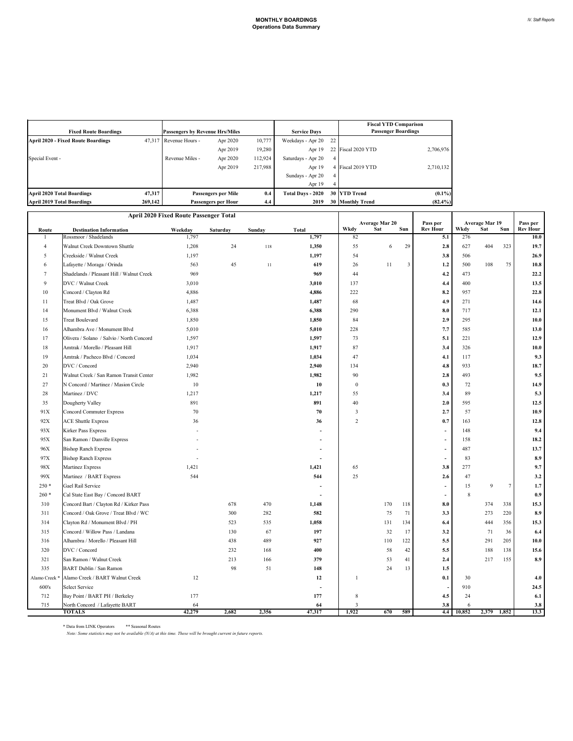| <b>Fixed Route Boardings</b>              | <b>Passengers by Revenue Hrs/Miles</b> |                        | <b>Service Days</b>        |         | <b>Fiscal YTD Comparison</b><br><b>Passenger Boardings</b> |                |                         |            |
|-------------------------------------------|----------------------------------------|------------------------|----------------------------|---------|------------------------------------------------------------|----------------|-------------------------|------------|
| <b>April 2020 - Fixed Route Boardings</b> |                                        | 47,317 Revenue Hours - | Apr 2020                   | 10,777  | Weekdays - Apr 20                                          | 22             |                         |            |
|                                           |                                        |                        | Apr 2019                   | 19.280  | Apr 19                                                     |                | 22 Fiscal 2020 YTD      | 2,706,976  |
| Special Event -                           |                                        | Revenue Miles -        | Apr 2020                   | 112.924 | Saturdays - Apr 20                                         | $\overline{4}$ |                         |            |
|                                           |                                        |                        | Apr 2019                   | 217,988 | Apr 19                                                     |                | 4 Fiscal 2019 YTD       | 2,710,132  |
|                                           |                                        |                        |                            |         | Sundays - Apr 20                                           | 4              |                         |            |
|                                           |                                        |                        |                            |         | Apr 19                                                     |                |                         |            |
| April 2020 Total Boardings                | 47,317                                 |                        | 0.4<br>Passengers per Mile |         | <b>Total Days - 2020</b>                                   |                | 30 YTD Trend            | $(0.1\%)$  |
| <b>April 2019 Total Boardings</b>         | 269,142                                |                        | <b>Passengers per Hour</b> |         | 2019                                                       |                | <b>30 Monthly Trend</b> | $(82.4\%)$ |

| April 2020 Fixed Route Passenger Total |                                                         |         |          |        |                |                |                       |     |                             |            |                              |                 |                             |
|----------------------------------------|---------------------------------------------------------|---------|----------|--------|----------------|----------------|-----------------------|-----|-----------------------------|------------|------------------------------|-----------------|-----------------------------|
|                                        |                                                         | Weekday |          |        |                | Wkdy           | Average Mar 20<br>Sat | Sun | Pass per<br><b>Rev Hour</b> | Wkdy       | <b>Average Mar 19</b><br>Sat | Sun             | Pass per<br><b>Rev Hour</b> |
| Route                                  | <b>Destination Information</b><br>Rossmoor / Shadelands | 1,797   | Saturday | Sunday | Total<br>1,797 | 82             |                       |     | 5.1                         | 276        |                              |                 | 10.0                        |
| $\overline{4}$                         | Walnut Creek Downtown Shuttle                           | 1,208   | 24       | 118    | 1,350          | 55             | 6                     | 29  | 2.8                         | 627        | 404                          | 323             | 19.7                        |
| 5                                      | Creekside / Walnut Creek                                | 1,197   |          |        | 1,197          | 54             |                       |     | 3.8                         | 506        |                              |                 | 26.9                        |
| 6                                      | Lafayette / Moraga / Orinda                             | 563     | 45       | 11     | 619            | 26             | 11                    | 3   | 1.2                         | 500        | 108                          | 75              | 10.8                        |
| $\overline{7}$                         | Shadelands / Pleasant Hill / Walnut Creek               | 969     |          |        | 969            | 44             |                       |     | 4.2                         | 473        |                              |                 | 22.2                        |
| $\mathbf Q$                            | DVC / Walnut Creek                                      | 3,010   |          |        | 3,010          | 137            |                       |     | 4.4                         | 400        |                              |                 | 13.5                        |
| 10                                     | Concord / Clayton Rd                                    | 4,886   |          |        | 4,886          | 222            |                       |     | 8.2                         | 957        |                              |                 | 22.8                        |
| 11                                     | Treat Blvd / Oak Grove                                  | 1,487   |          |        | 1,487          | 68             |                       |     | 4.9                         | 271        |                              |                 | 14.6                        |
| 14                                     | Monument Blvd / Walnut Creek                            | 6,388   |          |        | 6,388          | 290            |                       |     | 8.0                         | 717        |                              |                 | 12.1                        |
| 15                                     | <b>Treat Boulevard</b>                                  | 1,850   |          |        | 1,850          | 84             |                       |     | 2.9                         | 295        |                              |                 | 10.0                        |
| 16                                     | Alhambra Ave / Monument Blvd                            | 5,010   |          |        | 5,010          | 228            |                       |     | 7.7                         | 585        |                              |                 | 13.0                        |
| 17                                     | Olivera / Solano / Salvio / North Concord               | 1,597   |          |        | 1,597          | 73             |                       |     | 5.1                         | 221        |                              |                 | 12.9                        |
| 18                                     | Amtrak / Morello / Pleasant Hill                        | 1,917   |          |        | 1,917          | 87             |                       |     | 3.4                         | 326        |                              |                 | 10.0                        |
| 19                                     | Amtrak / Pacheco Blvd / Concord                         | 1,034   |          |        | 1,034          | 47             |                       |     | 4.1                         | 117        |                              |                 | 9.3                         |
| 20                                     | DVC / Concord                                           | 2,940   |          |        | 2,940          | 134            |                       |     | 4.8                         | 933        |                              |                 | 18.7                        |
| 21                                     | Walnut Creek / San Ramon Transit Center                 | 1,982   |          |        | 1,982          | 90             |                       |     | 2.8                         | 493        |                              |                 | 9.5                         |
| 27                                     | N Concord / Martinez / Masion Circle                    | 10      |          |        | 10             | $\mathbf{0}$   |                       |     | 0.3                         | 72         |                              |                 | 14.9                        |
| 28                                     | Martinez / DVC                                          | 1,217   |          |        | 1,217          | 55             |                       |     | 3.4                         | 89         |                              |                 | 5.3                         |
| 35                                     | Dougherty Valley                                        | 891     |          |        | 891            | 40             |                       |     | 2.0                         | 595        |                              |                 | 12.5                        |
| 91X                                    | <b>Concord Commuter Express</b>                         | 70      |          |        | 70             | 3              |                       |     | 2.7                         | 57         |                              |                 | 10.9                        |
| 92X                                    | <b>ACE Shuttle Express</b>                              | 36      |          |        | 36             | $\overline{c}$ |                       |     | 0.7                         | 163        |                              |                 | 12.8                        |
| 93X                                    | <b>Kirker Pass Express</b>                              |         |          |        |                |                |                       |     | $\blacksquare$              | 148        |                              |                 | 9.4                         |
| 95X                                    | San Ramon / Danville Express                            |         |          |        |                |                |                       |     | $\blacksquare$              | 158        |                              |                 | 18.2                        |
| 96X                                    | <b>Bishop Ranch Express</b>                             |         |          |        |                |                |                       |     | $\blacksquare$              | 487        |                              |                 | 13.7                        |
| 97X                                    | <b>Bishop Ranch Express</b>                             |         |          |        |                |                |                       |     | $\overline{\phantom{a}}$    | 83         |                              |                 | 8.9                         |
| 98X                                    | Martinez Express                                        | 1,421   |          |        | 1,421          | 65             |                       |     | 3.8                         | 277        |                              |                 | 9.7                         |
| 99X                                    | Martinez / BART Express                                 | 544     |          |        | 544            | 25             |                       |     | 2.6                         | 47         |                              |                 | 3.2                         |
| $250*$                                 | Gael Rail Service                                       |         |          |        |                |                |                       |     | $\blacksquare$              | 15         | 9                            | $7\phantom{.0}$ | 1.7                         |
| $260*$                                 | Cal State East Bay / Concord BART                       |         |          |        |                |                |                       |     | $\sim$                      | 8          |                              |                 | 0.9                         |
| 310                                    | Concord Bart / Clayton Rd / Kirker Pass                 |         | 678      | 470    | 1,148          |                | 170                   | 118 | 8.0                         |            | 374                          | 338             | 15.3                        |
| 311                                    | Concord / Oak Grove / Treat Blvd / WC                   |         | 300      | 282    | 582            |                | 75                    | 71  | 3.3                         |            | 273                          | 220             | 8.9                         |
| 314                                    | Clayton Rd / Monument Blvd / PH                         |         | 523      | 535    | 1,058          |                | 131                   | 134 | 6.4                         |            | 444                          | 356             | 15.3                        |
| 315                                    | Concord / Willow Pass / Landana                         |         | 130      | 67     | 197            |                | 32                    | 17  | 3.2                         |            | 71                           | 36              | 6.4                         |
| 316                                    | Alhambra / Morello / Pleasant Hill                      |         | 438      | 489    | 927            |                | 110                   | 122 | 5.5                         |            | 291                          | 205             | 10.0                        |
| 320                                    | DVC / Concord                                           |         | 232      | 168    | 400            |                | 58                    | 42  | 5.5                         |            | 188                          | 138             | 15.6                        |
| 321                                    | San Ramon / Walnut Creek                                |         | 213      | 166    | 379            |                | 53                    | 41  | 2.4                         |            | 217                          | 155             | 8.9                         |
| 335                                    | BART Dublin / San Ramon                                 |         | 98       | 51     | 148            |                | 24                    | 13  | 1.5                         |            |                              |                 |                             |
| Alamo Creek <sup>*</sup>               | Alamo Creek / BART Walnut Creek                         | 12      |          |        | 12             | $\mathbf{1}$   |                       |     | 0.1                         | 30         |                              |                 | 4.0                         |
| 600's                                  | <b>Select Service</b>                                   |         |          |        |                |                |                       |     |                             | 910        |                              |                 | 24.5                        |
| 712                                    | Bay Point / BART PH / Berkeley                          | 177     |          |        | 177            | 8              |                       |     | 4.5                         | 24         |                              |                 | 6.1                         |
| 715                                    | North Concord / Lafayette BART                          | 64      |          |        | 64             | $\mathbf{3}$   |                       |     | 3.8                         | 6          |                              |                 | 3.8                         |
|                                        | <b>TOTALS</b>                                           | 42,279  | 2,682    | 2,356  | 47,317         | 1,922          | 670                   | 589 |                             | 4.4 10,852 | 2,379                        | 1,852           | 13.3                        |

 $\,^*$  Data from LINK Operators  $\,^{\,*}$  Seasonal Routes

*Note: Some statistics may not be available (N/A) at this time. These will be brought current in future reports.*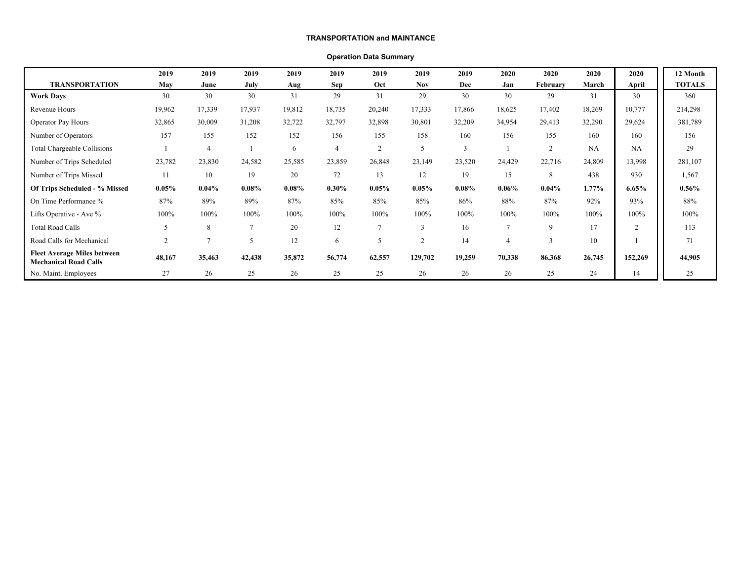#### **TRANSPORTATION and MAINTANCE**

#### **Operation Data Summary**

|                                                                    | 2019     | 2019           | 2019           | 2019   | 2019           | 2019           | 2019           | 2019          | 2020           | 2020           | 2020     | 2020     | 12 Month      |
|--------------------------------------------------------------------|----------|----------------|----------------|--------|----------------|----------------|----------------|---------------|----------------|----------------|----------|----------|---------------|
| <b>TRANSPORTATION</b>                                              | May      | June           | July           | Aug    | <b>Sep</b>     | Oct            | <b>Nov</b>     | Dec           | Jan            | February       | March    | April    | <b>TOTALS</b> |
| <b>Work Days</b>                                                   | 30       | 30             | 30             | 31     | 29             | 31             | 29             | 30            | 30             | 29             | 31       | 30       | 360           |
| Revenue Hours                                                      | 19,962   | 17,339         | 17,937         | 19,812 | 18,735         | 20,240         | 17,333         | 17,866        | 18,625         | 17,402         | 18,269   | 10,777   | 214,298       |
| Operator Pay Hours                                                 | 32,865   | 30,009         | 31,208         | 32,722 | 32,797         | 32,898         | 30,801         | 32,209        | 34,954         | 29,413         | 32,290   | 29,624   | 381,789       |
| Number of Operators                                                | 157      | 155            | 152            | 152    | 156            | 155            | 158            | 160           | 156            | 155            | 160      | 160      | 156           |
| Total Chargeable Collisions                                        |          | $\overline{4}$ |                | 6      | $\overline{4}$ | $\overline{2}$ |                | $\mathcal{R}$ |                | $\overline{c}$ | NA       | NA       | 29            |
| Number of Trips Scheduled                                          | 23,782   | 23,830         | 24,582         | 25,585 | 23,859         | 26,848         | 23,149         | 23,520        | 24,429         | 22,716         | 24,809   | 13,998   | 281,107       |
| Number of Trips Missed                                             | 11       | 10             | 19             | 20     | 72             | 13             | 12             | 19            | 15             | 8              | 438      | 930      | 1,567         |
| Of Trips Scheduled - % Missed                                      | $0.05\%$ | 0.04%          | $0.08\%$       | 0.08%  | $0.30\%$       | 0.05%          | 0.05%          | $0.08\%$      | 0.06%          | $0.04\%$       | $1.77\%$ | $6.65\%$ | $0.56\%$      |
| On Time Performance %                                              | 87%      | 89%            | 89%            | 87%    | 85%            | 85%            | 85%            | 86%           | 88%            | 87%            | 92%      | 93%      | 88%           |
| Lifts Operative - Ave %                                            | 100%     | 100%           | 100%           | 100%   | 100%           | 100%           | 100%           | 100%          | 100%           | 100%           | 100%     | 100%     | 100%          |
| <b>Total Road Calls</b>                                            | 5        | 8              | $\overline{7}$ | 20     | 12             | $\overline{7}$ |                | 16            | 7              | $\mathbf Q$    | 17       | 2        | 113           |
| Road Calls for Mechanical                                          | 2        | $\overline{ }$ | 5              | 12     | 6              | 5              | $\overline{2}$ | 14            | $\overline{4}$ | 3              | 10       |          | 71            |
| <b>Fleet Average Miles between</b><br><b>Mechanical Road Calls</b> | 48,167   | 35,463         | 42,438         | 35,872 | 56,774         | 62,557         | 129,702        | 19,259        | 70,338         | 86,368         | 26,745   | 152,269  | 44,905        |
| No. Maint. Employees                                               | 27       | 26             | 25             | 26     | 25             | 25             | 26             | 26            | 26             | 25             | 24       | 14       | 25            |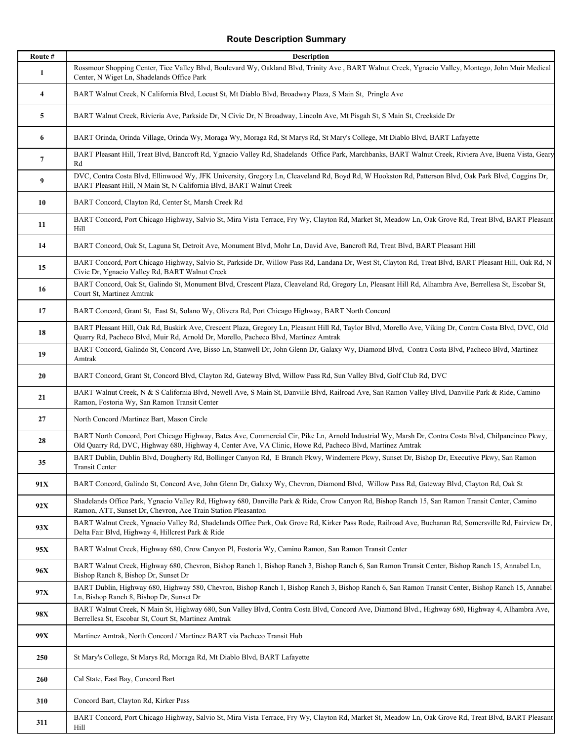## **Route Description Summary**

| Route #                 | <b>Description</b>                                                                                                                                                                                                                                               |
|-------------------------|------------------------------------------------------------------------------------------------------------------------------------------------------------------------------------------------------------------------------------------------------------------|
| 1                       | Rossmoor Shopping Center, Tice Valley Blvd, Boulevard Wy, Oakland Blvd, Trinity Ave, BART Walnut Creek, Ygnacio Valley, Montego, John Muir Medical<br>Center, N Wiget Ln, Shadelands Office Park                                                                 |
| $\overline{\mathbf{4}}$ | BART Walnut Creek, N California Blvd, Locust St, Mt Diablo Blvd, Broadway Plaza, S Main St, Pringle Ave                                                                                                                                                          |
| 5                       | BART Walnut Creek, Rivieria Ave, Parkside Dr, N Civic Dr, N Broadway, Lincoln Ave, Mt Pisgah St, S Main St, Creekside Dr                                                                                                                                         |
| 6                       | BART Orinda, Orinda Village, Orinda Wy, Moraga Wy, Moraga Rd, St Marys Rd, St Mary's College, Mt Diablo Blvd, BART Lafayette                                                                                                                                     |
| $\overline{7}$          | BART Pleasant Hill, Treat Blvd, Bancroft Rd, Ygnacio Valley Rd, Shadelands Office Park, Marchbanks, BART Walnut Creek, Riviera Ave, Buena Vista, Geary<br>Rd                                                                                                     |
| 9                       | DVC, Contra Costa Blvd, Ellinwood Wy, JFK University, Gregory Ln, Cleaveland Rd, Boyd Rd, W Hookston Rd, Patterson Blvd, Oak Park Blvd, Coggins Dr,<br>BART Pleasant Hill, N Main St, N California Blvd, BART Walnut Creek                                       |
| 10                      | BART Concord, Clayton Rd, Center St, Marsh Creek Rd                                                                                                                                                                                                              |
| 11                      | BART Concord, Port Chicago Highway, Salvio St, Mira Vista Terrace, Fry Wy, Clayton Rd, Market St, Meadow Ln, Oak Grove Rd, Treat Blvd, BART Pleasant<br>Hill                                                                                                     |
| 14                      | BART Concord, Oak St, Laguna St, Detroit Ave, Monument Blvd, Mohr Ln, David Ave, Bancroft Rd, Treat Blvd, BART Pleasant Hill                                                                                                                                     |
| 15                      | BART Concord, Port Chicago Highway, Salvio St, Parkside Dr, Willow Pass Rd, Landana Dr, West St, Clayton Rd, Treat Blvd, BART Pleasant Hill, Oak Rd, N<br>Civic Dr, Ygnacio Valley Rd, BART Walnut Creek                                                         |
| 16                      | BART Concord, Oak St, Galindo St, Monument Blvd, Crescent Plaza, Cleaveland Rd, Gregory Ln, Pleasant Hill Rd, Alhambra Ave, Berrellesa St, Escobar St,<br>Court St, Martinez Amtrak                                                                              |
| 17                      | BART Concord, Grant St, East St, Solano Wy, Olivera Rd, Port Chicago Highway, BART North Concord                                                                                                                                                                 |
| 18                      | BART Pleasant Hill, Oak Rd, Buskirk Ave, Crescent Plaza, Gregory Ln, Pleasant Hill Rd, Taylor Blvd, Morello Ave, Viking Dr, Contra Costa Blvd, DVC, Old<br>Quarry Rd, Pacheco Blvd, Muir Rd, Arnold Dr, Morello, Pacheco Blvd, Martinez Amtrak                   |
| 19                      | BART Concord, Galindo St, Concord Ave, Bisso Ln, Stanwell Dr, John Glenn Dr, Galaxy Wy, Diamond Blvd, Contra Costa Blvd, Pacheco Blvd, Martinez<br>Amtrak                                                                                                        |
| 20                      | BART Concord, Grant St, Concord Blvd, Clayton Rd, Gateway Blvd, Willow Pass Rd, Sun Valley Blvd, Golf Club Rd, DVC                                                                                                                                               |
| 21                      | BART Walnut Creek, N & S California Blvd, Newell Ave, S Main St, Danville Blvd, Railroad Ave, San Ramon Valley Blvd, Danville Park & Ride, Camino<br>Ramon, Fostoria Wy, San Ramon Transit Center                                                                |
| 27                      | North Concord /Martinez Bart, Mason Circle                                                                                                                                                                                                                       |
| 28                      | BART North Concord, Port Chicago Highway, Bates Ave, Commercial Cir, Pike Ln, Arnold Industrial Wy, Marsh Dr, Contra Costa Blvd, Chilpancinco Pkwy,<br>Old Quarry Rd, DVC, Highway 680, Highway 4, Center Ave, VA Clinic, Howe Rd, Pacheco Blvd, Martinez Amtrak |
| 35                      | BART Dublin, Dublin Blvd, Dougherty Rd, Bollinger Canyon Rd, E Branch Pkwy, Windemere Pkwy, Sunset Dr, Bishop Dr, Executive Pkwy, San Ramon<br>Transit Center                                                                                                    |
| 91X                     | BART Concord, Galindo St, Concord Ave, John Glenn Dr, Galaxy Wy, Chevron, Diamond Blvd, Willow Pass Rd, Gateway Blvd, Clayton Rd, Oak St                                                                                                                         |
| 92X                     | Shadelands Office Park, Ygnacio Valley Rd, Highway 680, Danville Park & Ride, Crow Canyon Rd, Bishop Ranch 15, San Ramon Transit Center, Camino<br>Ramon, ATT, Sunset Dr, Chevron, Ace Train Station Pleasanton                                                  |
| 93X                     | BART Walnut Creek, Ygnacio Valley Rd, Shadelands Office Park, Oak Grove Rd, Kirker Pass Rode, Railroad Ave, Buchanan Rd, Somersville Rd, Fairview Dr,<br>Delta Fair Blvd, Highway 4, Hillcrest Park & Ride                                                       |
| 95X                     | BART Walnut Creek, Highway 680, Crow Canyon Pl, Fostoria Wy, Camino Ramon, San Ramon Transit Center                                                                                                                                                              |
| 96X                     | BART Walnut Creek, Highway 680, Chevron, Bishop Ranch 1, Bishop Ranch 3, Bishop Ranch 6, San Ramon Transit Center, Bishop Ranch 15, Annabel Ln,<br>Bishop Ranch 8, Bishop Dr, Sunset Dr                                                                          |
| 97X                     | BART Dublin, Highway 680, Highway 580, Chevron, Bishop Ranch 1, Bishop Ranch 3, Bishop Ranch 6, San Ramon Transit Center, Bishop Ranch 15, Annabel<br>Ln, Bishop Ranch 8, Bishop Dr, Sunset Dr                                                                   |
| 98X                     | BART Walnut Creek, N Main St, Highway 680, Sun Valley Blvd, Contra Costa Blvd, Concord Ave, Diamond Blvd., Highway 680, Highway 4, Alhambra Ave,<br>Berrellesa St, Escobar St, Court St, Martinez Amtrak                                                         |
| 99X                     | Martinez Amtrak, North Concord / Martinez BART via Pacheco Transit Hub                                                                                                                                                                                           |
| 250                     | St Mary's College, St Marys Rd, Moraga Rd, Mt Diablo Blvd, BART Lafayette                                                                                                                                                                                        |
| 260                     | Cal State, East Bay, Concord Bart                                                                                                                                                                                                                                |
| 310                     | Concord Bart, Clayton Rd, Kirker Pass                                                                                                                                                                                                                            |
| 311                     | BART Concord, Port Chicago Highway, Salvio St, Mira Vista Terrace, Fry Wy, Clayton Rd, Market St, Meadow Ln, Oak Grove Rd, Treat Blvd, BART Pleasant<br>Hill                                                                                                     |

I